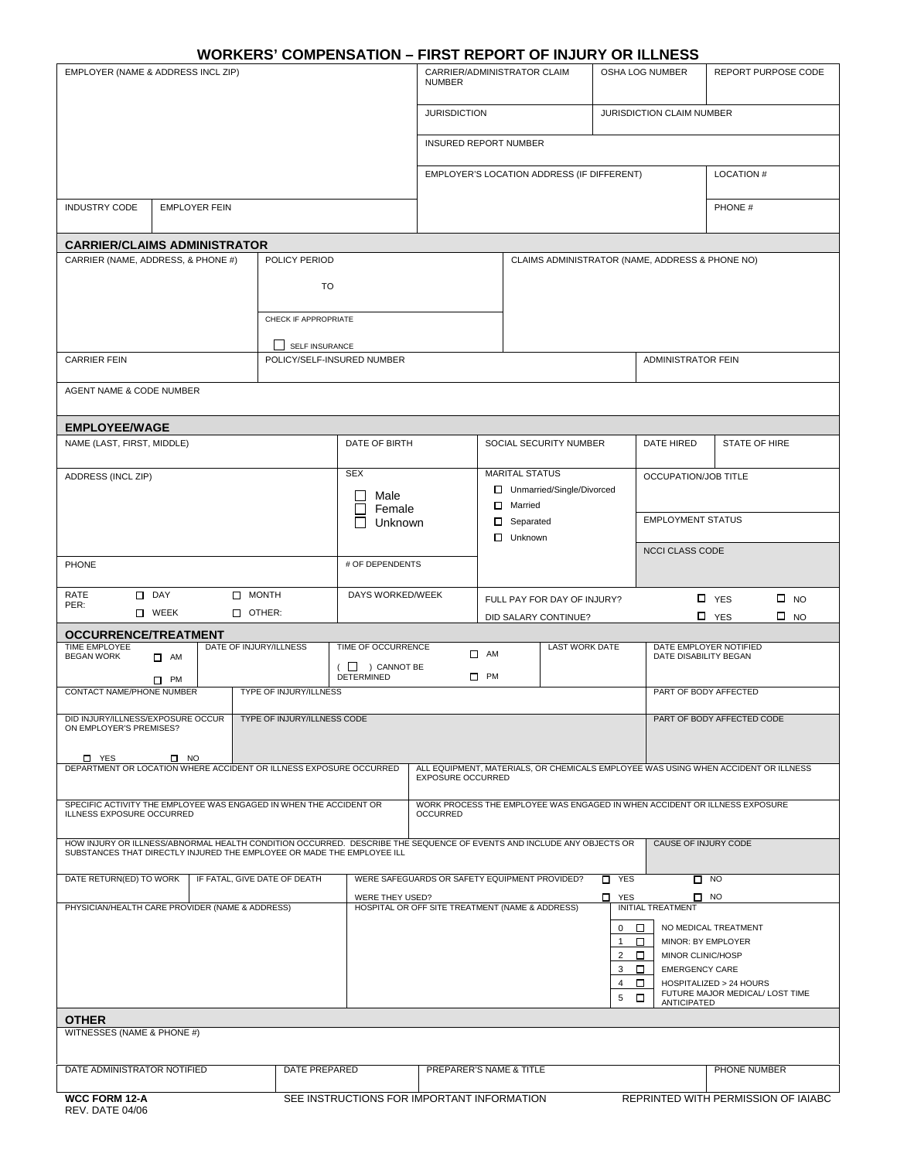# **WORKERS' COMPENSATION – FIRST REPORT OF INJURY OR ILLNESS**

| <b>JURISDICTION</b><br>JURISDICTION CLAIM NUMBER<br><b>INSURED REPORT NUMBER</b><br>EMPLOYER'S LOCATION ADDRESS (IF DIFFERENT)<br><b>LOCATION#</b><br><b>INDUSTRY CODE</b><br><b>EMPLOYER FEIN</b><br>PHONE #<br><b>CARRIER/CLAIMS ADMINISTRATOR</b><br>CARRIER (NAME, ADDRESS, & PHONE #)<br>POLICY PERIOD<br>CLAIMS ADMINISTRATOR (NAME, ADDRESS & PHONE NO)<br><b>TO</b><br>CHECK IF APPROPRIATE<br>SELF INSURANCE<br>POLICY/SELF-INSURED NUMBER<br><b>CARRIER FEIN</b><br><b>ADMINISTRATOR FEIN</b><br>AGENT NAME & CODE NUMBER<br><b>EMPLOYEE/WAGE</b><br>NAME (LAST, FIRST, MIDDLE)<br>DATE OF BIRTH<br>SOCIAL SECURITY NUMBER<br>DATE HIRED<br>STATE OF HIRE<br><b>MARITAL STATUS</b><br><b>SEX</b><br>OCCUPATION/JOB TITLE<br>ADDRESS (INCL ZIP)<br>□ Unmarried/Single/Divorced<br>Male<br>Married<br>Female<br><b>EMPLOYMENT STATUS</b><br>Separated<br>Unknown<br>Unknown<br><b>NCCI CLASS CODE</b><br># OF DEPENDENTS<br>PHONE<br>$\Box$ MONTH<br>$\square$ DAY<br>DAYS WORKED/WEEK<br>RATE<br>$\square$ NO<br>□ YES<br>FULL PAY FOR DAY OF INJURY?<br>PER:<br>$\Box$ OTHER:<br>$\square$ WEEK<br>□ YES<br>$\square$ NO<br>DID SALARY CONTINUE?<br><b>OCCURRENCE/TREATMENT</b><br><b>TIME EMPLOYEE</b><br>DATE OF INJURY/ILLNESS<br>TIME OF OCCURRENCE<br><b>LAST WORK DATE</b><br>DATE EMPLOYER NOTIFIED<br>$\Box$ AM<br><b>BEGAN WORK</b><br>DATE DISABILITY BEGAN<br>$\Box$ AM<br>$(\Box)$ CANNOT BE<br>$\Box$ PM<br><b>DETERMINED</b><br>$\square$ PM<br>PART OF BODY AFFECTED<br><b>CONTACT NAME/PHONE NUMBER</b><br><b>TYPE OF INJURY/ILLNESS</b><br>DID INJURY/ILLNESS/EXPOSURE OCCUR   TYPE OF INJURY/ILLNESS CODE<br>PART OF BODY AFFECTED CODE<br>ON EMPLOYER'S PREMISES?<br>D YES<br>$\Box$ NO<br>DEPARTMENT OR LOCATION WHERE ACCIDENT OR ILLNESS EXPOSURE OCCURRED<br>ALL EQUIPMENT, MATERIALS, OR CHEMICALS EMPLOYEE WAS USING WHEN ACCIDENT OR ILLNESS<br><b>EXPOSURE OCCURRED</b><br>SPECIFIC ACTIVITY THE EMPLOYEE WAS ENGAGED IN WHEN THE ACCIDENT OR<br>WORK PROCESS THE EMPLOYEE WAS ENGAGED IN WHEN ACCIDENT OR ILLNESS EXPOSURE<br><b>ILLNESS EXPOSURE OCCURRED</b><br><b>OCCURRED</b><br>HOW INJURY OR ILLNESS/ABNORMAL HEALTH CONDITION OCCURRED. DESCRIBE THE SEQUENCE OF EVENTS AND INCLUDE ANY OBJECTS OR<br>CAUSE OF INJURY CODE<br>SUBSTANCES THAT DIRECTLY INJURED THE EMPLOYEE OR MADE THE EMPLOYEE ILL<br>DATE RETURN(ED) TO WORK<br>IF FATAL. GIVE DATE OF DEATH<br>WERE SAFEGUARDS OR SAFETY EQUIPMENT PROVIDED?<br>$\Box$ YES<br>$\Box$ NO<br>п<br>$\square$ NO<br>WERE THEY USED?<br>YES<br>PHYSICIAN/HEALTH CARE PROVIDER (NAME & ADDRESS)<br>HOSPITAL OR OFF SITE TREATMENT (NAME & ADDRESS)<br><b>INITIAL TREATMENT</b><br>$\mathbf{0}$<br>NO MEDICAL TREATMENT<br>□<br>□<br>MINOR: BY EMPLOYER<br>$\mathbf{1}$<br>2<br>MINOR CLINIC/HOSP<br>□<br><b>EMERGENCY CARE</b><br>3<br>O.<br>HOSPITALIZED > 24 HOURS<br>4<br>FUTURE MAJOR MEDICAL/ LOST TIME<br>□<br>5<br><b>ANTICIPATED</b><br><b>OTHER</b><br>WITNESSES (NAME & PHONE #)<br>DATE PREPARED<br>DATE ADMINISTRATOR NOTIFIED<br>PREPARER'S NAME & TITLE<br>PHONE NUMBER<br>SEE INSTRUCTIONS FOR IMPORTANT INFORMATION<br>REPRINTED WITH PERMISSION OF IAIABC<br><b>WCC FORM 12-A</b><br>$\Gamma$ | EMPLOYER (NAME & ADDRESS INCL ZIP) |  |  | CARRIER/ADMINISTRATOR CLAIM<br><b>NUMBER</b> |  |  | OSHA LOG NUMBER |  | REPORT PURPOSE CODE |  |
|-----------------------------------------------------------------------------------------------------------------------------------------------------------------------------------------------------------------------------------------------------------------------------------------------------------------------------------------------------------------------------------------------------------------------------------------------------------------------------------------------------------------------------------------------------------------------------------------------------------------------------------------------------------------------------------------------------------------------------------------------------------------------------------------------------------------------------------------------------------------------------------------------------------------------------------------------------------------------------------------------------------------------------------------------------------------------------------------------------------------------------------------------------------------------------------------------------------------------------------------------------------------------------------------------------------------------------------------------------------------------------------------------------------------------------------------------------------------------------------------------------------------------------------------------------------------------------------------------------------------------------------------------------------------------------------------------------------------------------------------------------------------------------------------------------------------------------------------------------------------------------------------------------------------------------------------------------------------------------------------------------------------------------------------------------------------------------------------------------------------------------------------------------------------------------------------------------------------------------------------------------------------------------------------------------------------------------------------------------------------------------------------------------------------------------------------------------------------------------------------------------------------------------------------------------------------------------------------------------------------------------------------------------------------------------------------------------------------------------------------------------------------------------------------------------------------------------------------------------------------------------------------------------------------------------------------------------------------------------------------------------------------------------------------------------------------------------------------------------------------------------------------------------------------------------------------------------------|------------------------------------|--|--|----------------------------------------------|--|--|-----------------|--|---------------------|--|
|                                                                                                                                                                                                                                                                                                                                                                                                                                                                                                                                                                                                                                                                                                                                                                                                                                                                                                                                                                                                                                                                                                                                                                                                                                                                                                                                                                                                                                                                                                                                                                                                                                                                                                                                                                                                                                                                                                                                                                                                                                                                                                                                                                                                                                                                                                                                                                                                                                                                                                                                                                                                                                                                                                                                                                                                                                                                                                                                                                                                                                                                                                                                                                                                           |                                    |  |  |                                              |  |  |                 |  |                     |  |
|                                                                                                                                                                                                                                                                                                                                                                                                                                                                                                                                                                                                                                                                                                                                                                                                                                                                                                                                                                                                                                                                                                                                                                                                                                                                                                                                                                                                                                                                                                                                                                                                                                                                                                                                                                                                                                                                                                                                                                                                                                                                                                                                                                                                                                                                                                                                                                                                                                                                                                                                                                                                                                                                                                                                                                                                                                                                                                                                                                                                                                                                                                                                                                                                           |                                    |  |  |                                              |  |  |                 |  |                     |  |
|                                                                                                                                                                                                                                                                                                                                                                                                                                                                                                                                                                                                                                                                                                                                                                                                                                                                                                                                                                                                                                                                                                                                                                                                                                                                                                                                                                                                                                                                                                                                                                                                                                                                                                                                                                                                                                                                                                                                                                                                                                                                                                                                                                                                                                                                                                                                                                                                                                                                                                                                                                                                                                                                                                                                                                                                                                                                                                                                                                                                                                                                                                                                                                                                           |                                    |  |  |                                              |  |  |                 |  |                     |  |
|                                                                                                                                                                                                                                                                                                                                                                                                                                                                                                                                                                                                                                                                                                                                                                                                                                                                                                                                                                                                                                                                                                                                                                                                                                                                                                                                                                                                                                                                                                                                                                                                                                                                                                                                                                                                                                                                                                                                                                                                                                                                                                                                                                                                                                                                                                                                                                                                                                                                                                                                                                                                                                                                                                                                                                                                                                                                                                                                                                                                                                                                                                                                                                                                           |                                    |  |  |                                              |  |  |                 |  |                     |  |
|                                                                                                                                                                                                                                                                                                                                                                                                                                                                                                                                                                                                                                                                                                                                                                                                                                                                                                                                                                                                                                                                                                                                                                                                                                                                                                                                                                                                                                                                                                                                                                                                                                                                                                                                                                                                                                                                                                                                                                                                                                                                                                                                                                                                                                                                                                                                                                                                                                                                                                                                                                                                                                                                                                                                                                                                                                                                                                                                                                                                                                                                                                                                                                                                           |                                    |  |  |                                              |  |  |                 |  |                     |  |
|                                                                                                                                                                                                                                                                                                                                                                                                                                                                                                                                                                                                                                                                                                                                                                                                                                                                                                                                                                                                                                                                                                                                                                                                                                                                                                                                                                                                                                                                                                                                                                                                                                                                                                                                                                                                                                                                                                                                                                                                                                                                                                                                                                                                                                                                                                                                                                                                                                                                                                                                                                                                                                                                                                                                                                                                                                                                                                                                                                                                                                                                                                                                                                                                           |                                    |  |  |                                              |  |  |                 |  |                     |  |
|                                                                                                                                                                                                                                                                                                                                                                                                                                                                                                                                                                                                                                                                                                                                                                                                                                                                                                                                                                                                                                                                                                                                                                                                                                                                                                                                                                                                                                                                                                                                                                                                                                                                                                                                                                                                                                                                                                                                                                                                                                                                                                                                                                                                                                                                                                                                                                                                                                                                                                                                                                                                                                                                                                                                                                                                                                                                                                                                                                                                                                                                                                                                                                                                           |                                    |  |  |                                              |  |  |                 |  |                     |  |
|                                                                                                                                                                                                                                                                                                                                                                                                                                                                                                                                                                                                                                                                                                                                                                                                                                                                                                                                                                                                                                                                                                                                                                                                                                                                                                                                                                                                                                                                                                                                                                                                                                                                                                                                                                                                                                                                                                                                                                                                                                                                                                                                                                                                                                                                                                                                                                                                                                                                                                                                                                                                                                                                                                                                                                                                                                                                                                                                                                                                                                                                                                                                                                                                           |                                    |  |  |                                              |  |  |                 |  |                     |  |
|                                                                                                                                                                                                                                                                                                                                                                                                                                                                                                                                                                                                                                                                                                                                                                                                                                                                                                                                                                                                                                                                                                                                                                                                                                                                                                                                                                                                                                                                                                                                                                                                                                                                                                                                                                                                                                                                                                                                                                                                                                                                                                                                                                                                                                                                                                                                                                                                                                                                                                                                                                                                                                                                                                                                                                                                                                                                                                                                                                                                                                                                                                                                                                                                           |                                    |  |  |                                              |  |  |                 |  |                     |  |
|                                                                                                                                                                                                                                                                                                                                                                                                                                                                                                                                                                                                                                                                                                                                                                                                                                                                                                                                                                                                                                                                                                                                                                                                                                                                                                                                                                                                                                                                                                                                                                                                                                                                                                                                                                                                                                                                                                                                                                                                                                                                                                                                                                                                                                                                                                                                                                                                                                                                                                                                                                                                                                                                                                                                                                                                                                                                                                                                                                                                                                                                                                                                                                                                           |                                    |  |  |                                              |  |  |                 |  |                     |  |
|                                                                                                                                                                                                                                                                                                                                                                                                                                                                                                                                                                                                                                                                                                                                                                                                                                                                                                                                                                                                                                                                                                                                                                                                                                                                                                                                                                                                                                                                                                                                                                                                                                                                                                                                                                                                                                                                                                                                                                                                                                                                                                                                                                                                                                                                                                                                                                                                                                                                                                                                                                                                                                                                                                                                                                                                                                                                                                                                                                                                                                                                                                                                                                                                           |                                    |  |  |                                              |  |  |                 |  |                     |  |
|                                                                                                                                                                                                                                                                                                                                                                                                                                                                                                                                                                                                                                                                                                                                                                                                                                                                                                                                                                                                                                                                                                                                                                                                                                                                                                                                                                                                                                                                                                                                                                                                                                                                                                                                                                                                                                                                                                                                                                                                                                                                                                                                                                                                                                                                                                                                                                                                                                                                                                                                                                                                                                                                                                                                                                                                                                                                                                                                                                                                                                                                                                                                                                                                           |                                    |  |  |                                              |  |  |                 |  |                     |  |
|                                                                                                                                                                                                                                                                                                                                                                                                                                                                                                                                                                                                                                                                                                                                                                                                                                                                                                                                                                                                                                                                                                                                                                                                                                                                                                                                                                                                                                                                                                                                                                                                                                                                                                                                                                                                                                                                                                                                                                                                                                                                                                                                                                                                                                                                                                                                                                                                                                                                                                                                                                                                                                                                                                                                                                                                                                                                                                                                                                                                                                                                                                                                                                                                           |                                    |  |  |                                              |  |  |                 |  |                     |  |
|                                                                                                                                                                                                                                                                                                                                                                                                                                                                                                                                                                                                                                                                                                                                                                                                                                                                                                                                                                                                                                                                                                                                                                                                                                                                                                                                                                                                                                                                                                                                                                                                                                                                                                                                                                                                                                                                                                                                                                                                                                                                                                                                                                                                                                                                                                                                                                                                                                                                                                                                                                                                                                                                                                                                                                                                                                                                                                                                                                                                                                                                                                                                                                                                           |                                    |  |  |                                              |  |  |                 |  |                     |  |
|                                                                                                                                                                                                                                                                                                                                                                                                                                                                                                                                                                                                                                                                                                                                                                                                                                                                                                                                                                                                                                                                                                                                                                                                                                                                                                                                                                                                                                                                                                                                                                                                                                                                                                                                                                                                                                                                                                                                                                                                                                                                                                                                                                                                                                                                                                                                                                                                                                                                                                                                                                                                                                                                                                                                                                                                                                                                                                                                                                                                                                                                                                                                                                                                           |                                    |  |  |                                              |  |  |                 |  |                     |  |
|                                                                                                                                                                                                                                                                                                                                                                                                                                                                                                                                                                                                                                                                                                                                                                                                                                                                                                                                                                                                                                                                                                                                                                                                                                                                                                                                                                                                                                                                                                                                                                                                                                                                                                                                                                                                                                                                                                                                                                                                                                                                                                                                                                                                                                                                                                                                                                                                                                                                                                                                                                                                                                                                                                                                                                                                                                                                                                                                                                                                                                                                                                                                                                                                           |                                    |  |  |                                              |  |  |                 |  |                     |  |
|                                                                                                                                                                                                                                                                                                                                                                                                                                                                                                                                                                                                                                                                                                                                                                                                                                                                                                                                                                                                                                                                                                                                                                                                                                                                                                                                                                                                                                                                                                                                                                                                                                                                                                                                                                                                                                                                                                                                                                                                                                                                                                                                                                                                                                                                                                                                                                                                                                                                                                                                                                                                                                                                                                                                                                                                                                                                                                                                                                                                                                                                                                                                                                                                           |                                    |  |  |                                              |  |  |                 |  |                     |  |
|                                                                                                                                                                                                                                                                                                                                                                                                                                                                                                                                                                                                                                                                                                                                                                                                                                                                                                                                                                                                                                                                                                                                                                                                                                                                                                                                                                                                                                                                                                                                                                                                                                                                                                                                                                                                                                                                                                                                                                                                                                                                                                                                                                                                                                                                                                                                                                                                                                                                                                                                                                                                                                                                                                                                                                                                                                                                                                                                                                                                                                                                                                                                                                                                           |                                    |  |  |                                              |  |  |                 |  |                     |  |
|                                                                                                                                                                                                                                                                                                                                                                                                                                                                                                                                                                                                                                                                                                                                                                                                                                                                                                                                                                                                                                                                                                                                                                                                                                                                                                                                                                                                                                                                                                                                                                                                                                                                                                                                                                                                                                                                                                                                                                                                                                                                                                                                                                                                                                                                                                                                                                                                                                                                                                                                                                                                                                                                                                                                                                                                                                                                                                                                                                                                                                                                                                                                                                                                           |                                    |  |  |                                              |  |  |                 |  |                     |  |
|                                                                                                                                                                                                                                                                                                                                                                                                                                                                                                                                                                                                                                                                                                                                                                                                                                                                                                                                                                                                                                                                                                                                                                                                                                                                                                                                                                                                                                                                                                                                                                                                                                                                                                                                                                                                                                                                                                                                                                                                                                                                                                                                                                                                                                                                                                                                                                                                                                                                                                                                                                                                                                                                                                                                                                                                                                                                                                                                                                                                                                                                                                                                                                                                           |                                    |  |  |                                              |  |  |                 |  |                     |  |
|                                                                                                                                                                                                                                                                                                                                                                                                                                                                                                                                                                                                                                                                                                                                                                                                                                                                                                                                                                                                                                                                                                                                                                                                                                                                                                                                                                                                                                                                                                                                                                                                                                                                                                                                                                                                                                                                                                                                                                                                                                                                                                                                                                                                                                                                                                                                                                                                                                                                                                                                                                                                                                                                                                                                                                                                                                                                                                                                                                                                                                                                                                                                                                                                           |                                    |  |  |                                              |  |  |                 |  |                     |  |
|                                                                                                                                                                                                                                                                                                                                                                                                                                                                                                                                                                                                                                                                                                                                                                                                                                                                                                                                                                                                                                                                                                                                                                                                                                                                                                                                                                                                                                                                                                                                                                                                                                                                                                                                                                                                                                                                                                                                                                                                                                                                                                                                                                                                                                                                                                                                                                                                                                                                                                                                                                                                                                                                                                                                                                                                                                                                                                                                                                                                                                                                                                                                                                                                           |                                    |  |  |                                              |  |  |                 |  |                     |  |
|                                                                                                                                                                                                                                                                                                                                                                                                                                                                                                                                                                                                                                                                                                                                                                                                                                                                                                                                                                                                                                                                                                                                                                                                                                                                                                                                                                                                                                                                                                                                                                                                                                                                                                                                                                                                                                                                                                                                                                                                                                                                                                                                                                                                                                                                                                                                                                                                                                                                                                                                                                                                                                                                                                                                                                                                                                                                                                                                                                                                                                                                                                                                                                                                           |                                    |  |  |                                              |  |  |                 |  |                     |  |
|                                                                                                                                                                                                                                                                                                                                                                                                                                                                                                                                                                                                                                                                                                                                                                                                                                                                                                                                                                                                                                                                                                                                                                                                                                                                                                                                                                                                                                                                                                                                                                                                                                                                                                                                                                                                                                                                                                                                                                                                                                                                                                                                                                                                                                                                                                                                                                                                                                                                                                                                                                                                                                                                                                                                                                                                                                                                                                                                                                                                                                                                                                                                                                                                           |                                    |  |  |                                              |  |  |                 |  |                     |  |
|                                                                                                                                                                                                                                                                                                                                                                                                                                                                                                                                                                                                                                                                                                                                                                                                                                                                                                                                                                                                                                                                                                                                                                                                                                                                                                                                                                                                                                                                                                                                                                                                                                                                                                                                                                                                                                                                                                                                                                                                                                                                                                                                                                                                                                                                                                                                                                                                                                                                                                                                                                                                                                                                                                                                                                                                                                                                                                                                                                                                                                                                                                                                                                                                           |                                    |  |  |                                              |  |  |                 |  |                     |  |
|                                                                                                                                                                                                                                                                                                                                                                                                                                                                                                                                                                                                                                                                                                                                                                                                                                                                                                                                                                                                                                                                                                                                                                                                                                                                                                                                                                                                                                                                                                                                                                                                                                                                                                                                                                                                                                                                                                                                                                                                                                                                                                                                                                                                                                                                                                                                                                                                                                                                                                                                                                                                                                                                                                                                                                                                                                                                                                                                                                                                                                                                                                                                                                                                           |                                    |  |  |                                              |  |  |                 |  |                     |  |
|                                                                                                                                                                                                                                                                                                                                                                                                                                                                                                                                                                                                                                                                                                                                                                                                                                                                                                                                                                                                                                                                                                                                                                                                                                                                                                                                                                                                                                                                                                                                                                                                                                                                                                                                                                                                                                                                                                                                                                                                                                                                                                                                                                                                                                                                                                                                                                                                                                                                                                                                                                                                                                                                                                                                                                                                                                                                                                                                                                                                                                                                                                                                                                                                           |                                    |  |  |                                              |  |  |                 |  |                     |  |
|                                                                                                                                                                                                                                                                                                                                                                                                                                                                                                                                                                                                                                                                                                                                                                                                                                                                                                                                                                                                                                                                                                                                                                                                                                                                                                                                                                                                                                                                                                                                                                                                                                                                                                                                                                                                                                                                                                                                                                                                                                                                                                                                                                                                                                                                                                                                                                                                                                                                                                                                                                                                                                                                                                                                                                                                                                                                                                                                                                                                                                                                                                                                                                                                           |                                    |  |  |                                              |  |  |                 |  |                     |  |
|                                                                                                                                                                                                                                                                                                                                                                                                                                                                                                                                                                                                                                                                                                                                                                                                                                                                                                                                                                                                                                                                                                                                                                                                                                                                                                                                                                                                                                                                                                                                                                                                                                                                                                                                                                                                                                                                                                                                                                                                                                                                                                                                                                                                                                                                                                                                                                                                                                                                                                                                                                                                                                                                                                                                                                                                                                                                                                                                                                                                                                                                                                                                                                                                           |                                    |  |  |                                              |  |  |                 |  |                     |  |
|                                                                                                                                                                                                                                                                                                                                                                                                                                                                                                                                                                                                                                                                                                                                                                                                                                                                                                                                                                                                                                                                                                                                                                                                                                                                                                                                                                                                                                                                                                                                                                                                                                                                                                                                                                                                                                                                                                                                                                                                                                                                                                                                                                                                                                                                                                                                                                                                                                                                                                                                                                                                                                                                                                                                                                                                                                                                                                                                                                                                                                                                                                                                                                                                           |                                    |  |  |                                              |  |  |                 |  |                     |  |
|                                                                                                                                                                                                                                                                                                                                                                                                                                                                                                                                                                                                                                                                                                                                                                                                                                                                                                                                                                                                                                                                                                                                                                                                                                                                                                                                                                                                                                                                                                                                                                                                                                                                                                                                                                                                                                                                                                                                                                                                                                                                                                                                                                                                                                                                                                                                                                                                                                                                                                                                                                                                                                                                                                                                                                                                                                                                                                                                                                                                                                                                                                                                                                                                           |                                    |  |  |                                              |  |  |                 |  |                     |  |
|                                                                                                                                                                                                                                                                                                                                                                                                                                                                                                                                                                                                                                                                                                                                                                                                                                                                                                                                                                                                                                                                                                                                                                                                                                                                                                                                                                                                                                                                                                                                                                                                                                                                                                                                                                                                                                                                                                                                                                                                                                                                                                                                                                                                                                                                                                                                                                                                                                                                                                                                                                                                                                                                                                                                                                                                                                                                                                                                                                                                                                                                                                                                                                                                           |                                    |  |  |                                              |  |  |                 |  |                     |  |
|                                                                                                                                                                                                                                                                                                                                                                                                                                                                                                                                                                                                                                                                                                                                                                                                                                                                                                                                                                                                                                                                                                                                                                                                                                                                                                                                                                                                                                                                                                                                                                                                                                                                                                                                                                                                                                                                                                                                                                                                                                                                                                                                                                                                                                                                                                                                                                                                                                                                                                                                                                                                                                                                                                                                                                                                                                                                                                                                                                                                                                                                                                                                                                                                           |                                    |  |  |                                              |  |  |                 |  |                     |  |
|                                                                                                                                                                                                                                                                                                                                                                                                                                                                                                                                                                                                                                                                                                                                                                                                                                                                                                                                                                                                                                                                                                                                                                                                                                                                                                                                                                                                                                                                                                                                                                                                                                                                                                                                                                                                                                                                                                                                                                                                                                                                                                                                                                                                                                                                                                                                                                                                                                                                                                                                                                                                                                                                                                                                                                                                                                                                                                                                                                                                                                                                                                                                                                                                           |                                    |  |  |                                              |  |  |                 |  |                     |  |
|                                                                                                                                                                                                                                                                                                                                                                                                                                                                                                                                                                                                                                                                                                                                                                                                                                                                                                                                                                                                                                                                                                                                                                                                                                                                                                                                                                                                                                                                                                                                                                                                                                                                                                                                                                                                                                                                                                                                                                                                                                                                                                                                                                                                                                                                                                                                                                                                                                                                                                                                                                                                                                                                                                                                                                                                                                                                                                                                                                                                                                                                                                                                                                                                           |                                    |  |  |                                              |  |  |                 |  |                     |  |
|                                                                                                                                                                                                                                                                                                                                                                                                                                                                                                                                                                                                                                                                                                                                                                                                                                                                                                                                                                                                                                                                                                                                                                                                                                                                                                                                                                                                                                                                                                                                                                                                                                                                                                                                                                                                                                                                                                                                                                                                                                                                                                                                                                                                                                                                                                                                                                                                                                                                                                                                                                                                                                                                                                                                                                                                                                                                                                                                                                                                                                                                                                                                                                                                           |                                    |  |  |                                              |  |  |                 |  |                     |  |
|                                                                                                                                                                                                                                                                                                                                                                                                                                                                                                                                                                                                                                                                                                                                                                                                                                                                                                                                                                                                                                                                                                                                                                                                                                                                                                                                                                                                                                                                                                                                                                                                                                                                                                                                                                                                                                                                                                                                                                                                                                                                                                                                                                                                                                                                                                                                                                                                                                                                                                                                                                                                                                                                                                                                                                                                                                                                                                                                                                                                                                                                                                                                                                                                           |                                    |  |  |                                              |  |  |                 |  |                     |  |
|                                                                                                                                                                                                                                                                                                                                                                                                                                                                                                                                                                                                                                                                                                                                                                                                                                                                                                                                                                                                                                                                                                                                                                                                                                                                                                                                                                                                                                                                                                                                                                                                                                                                                                                                                                                                                                                                                                                                                                                                                                                                                                                                                                                                                                                                                                                                                                                                                                                                                                                                                                                                                                                                                                                                                                                                                                                                                                                                                                                                                                                                                                                                                                                                           |                                    |  |  |                                              |  |  |                 |  |                     |  |
|                                                                                                                                                                                                                                                                                                                                                                                                                                                                                                                                                                                                                                                                                                                                                                                                                                                                                                                                                                                                                                                                                                                                                                                                                                                                                                                                                                                                                                                                                                                                                                                                                                                                                                                                                                                                                                                                                                                                                                                                                                                                                                                                                                                                                                                                                                                                                                                                                                                                                                                                                                                                                                                                                                                                                                                                                                                                                                                                                                                                                                                                                                                                                                                                           |                                    |  |  |                                              |  |  |                 |  |                     |  |
|                                                                                                                                                                                                                                                                                                                                                                                                                                                                                                                                                                                                                                                                                                                                                                                                                                                                                                                                                                                                                                                                                                                                                                                                                                                                                                                                                                                                                                                                                                                                                                                                                                                                                                                                                                                                                                                                                                                                                                                                                                                                                                                                                                                                                                                                                                                                                                                                                                                                                                                                                                                                                                                                                                                                                                                                                                                                                                                                                                                                                                                                                                                                                                                                           |                                    |  |  |                                              |  |  |                 |  |                     |  |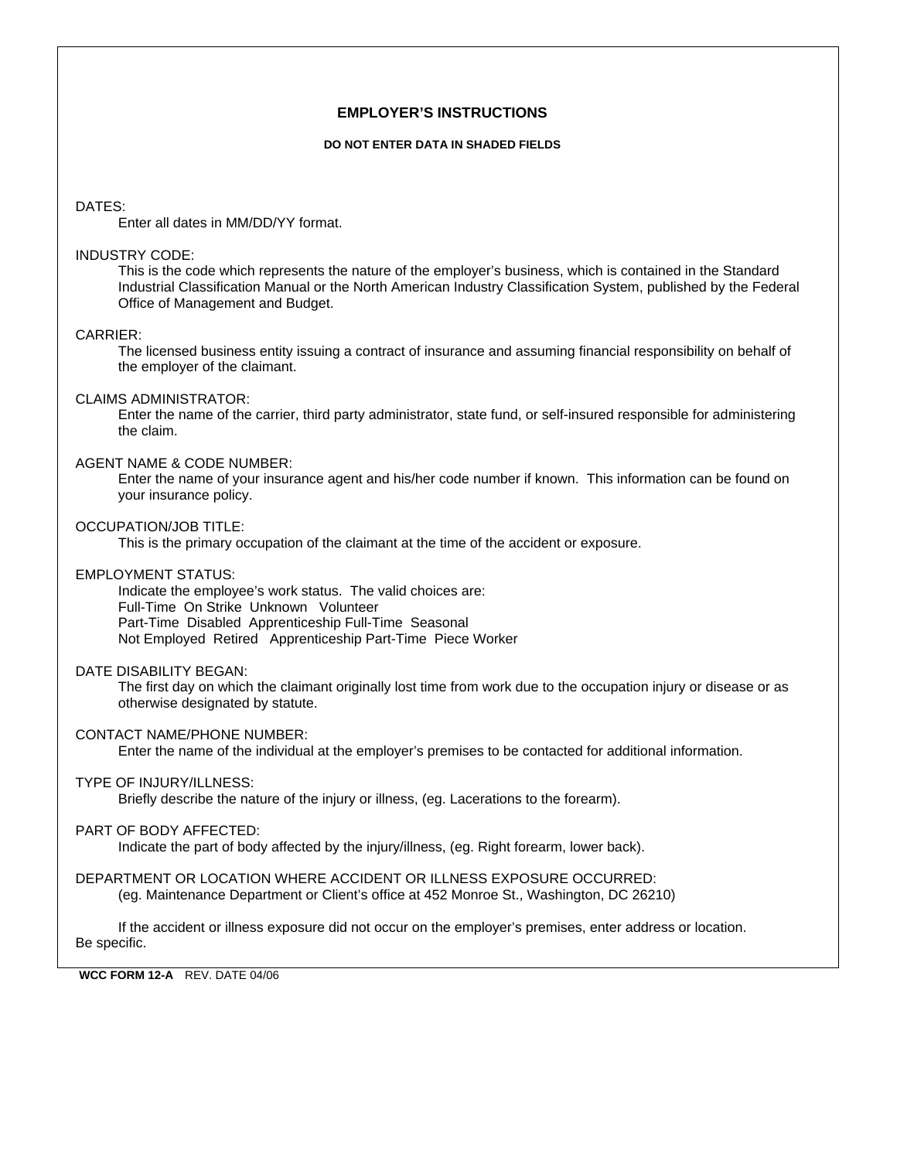# **EMPLOYER'S INSTRUCTIONS**

#### **DO NOT ENTER DATA IN SHADED FIELDS**

#### DATES:

Enter all dates in MM/DD/YY format.

#### INDUSTRY CODE:

This is the code which represents the nature of the employer's business, which is contained in the Standard Industrial Classification Manual or the North American Industry Classification System, published by the Federal Office of Management and Budget.

# CARRIER:

The licensed business entity issuing a contract of insurance and assuming financial responsibility on behalf of the employer of the claimant.

### CLAIMS ADMINISTRATOR:

Enter the name of the carrier, third party administrator, state fund, or self-insured responsible for administering the claim.

#### AGENT NAME & CODE NUMBER:

Enter the name of your insurance agent and his/her code number if known. This information can be found on your insurance policy.

### OCCUPATION/JOB TITLE:

This is the primary occupation of the claimant at the time of the accident or exposure.

#### EMPLOYMENT STATUS:

Indicate the employee's work status. The valid choices are: Full-Time On Strike Unknown Volunteer Part-Time Disabled Apprenticeship Full-Time Seasonal Not Employed Retired Apprenticeship Part-Time Piece Worker

#### DATE DISABILITY BEGAN:

The first day on which the claimant originally lost time from work due to the occupation injury or disease or as otherwise designated by statute.

### CONTACT NAME/PHONE NUMBER:

Enter the name of the individual at the employer's premises to be contacted for additional information.

# TYPE OF INJURY/ILLNESS:

Briefly describe the nature of the injury or illness, (eg. Lacerations to the forearm).

### PART OF BODY AFFECTED:

Indicate the part of body affected by the injury/illness, (eg. Right forearm, lower back).

#### DEPARTMENT OR LOCATION WHERE ACCIDENT OR ILLNESS EXPOSURE OCCURRED: (eg. Maintenance Department or Client's office at 452 Monroe St., Washington, DC 26210)

If the accident or illness exposure did not occur on the employer's premises, enter address or location. Be specific.

## **WCC FORM 12-A** REV. DATE 04/06